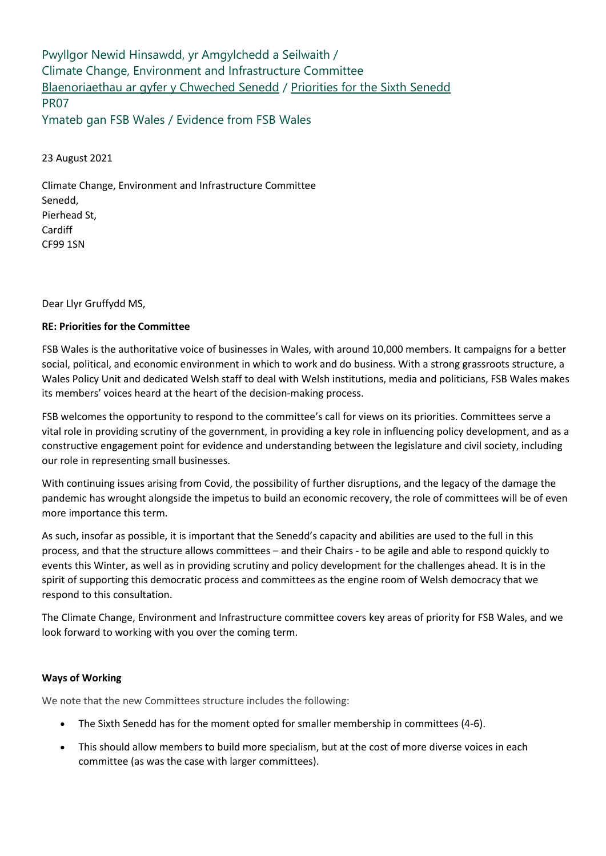Pwyllgor Newid Hinsawdd, yr Amgylchedd a Seilwaith / Climate Change, Environment and Infrastructure Committee [Blaenoriaethau ar gyfer y Chweched Senedd](https://busnes.senedd.cymru/mgConsultationDisplay.aspx?id=427&RPID=1026452002&cp=yes) / [Priorities for the Sixth Senedd](https://business.senedd.wales/mgConsultationDisplay.aspx?id=427&RPID=1026452002&cp=yes) PR07 Ymateb gan FSB Wales / Evidence from FSB Wales

23 August 2021

Climate Change, Environment and Infrastructure Committee Senedd, Pierhead St, Cardiff CF99 1SN

Dear Llyr Gruffydd MS,

### **RE: Priorities for the Committee**

FSB Wales is the authoritative voice of businesses in Wales, with around 10,000 members. It campaigns for a better social, political, and economic environment in which to work and do business. With a strong grassroots structure, a Wales Policy Unit and dedicated Welsh staff to deal with Welsh institutions, media and politicians, FSB Wales makes its members' voices heard at the heart of the decision-making process.

FSB welcomes the opportunity to respond to the committee's call for views on its priorities. Committees serve a vital role in providing scrutiny of the government, in providing a key role in influencing policy development, and as a constructive engagement point for evidence and understanding between the legislature and civil society, including our role in representing small businesses.

With continuing issues arising from Covid, the possibility of further disruptions, and the legacy of the damage the pandemic has wrought alongside the impetus to build an economic recovery, the role of committees will be of even more importance this term.

As such, insofar as possible, it is important that the Senedd's capacity and abilities are used to the full in this process, and that the structure allows committees – and their Chairs - to be agile and able to respond quickly to events this Winter, as well as in providing scrutiny and policy development for the challenges ahead. It is in the spirit of supporting this democratic process and committees as the engine room of Welsh democracy that we respond to this consultation.

The Climate Change, Environment and Infrastructure committee covers key areas of priority for FSB Wales, and we look forward to working with you over the coming term.

## **Ways of Working**

We note that the new Committees structure includes the following:

- The Sixth Senedd has for the moment opted for smaller membership in committees (4-6).
- This should allow members to build more specialism, but at the cost of more diverse voices in each committee (as was the case with larger committees).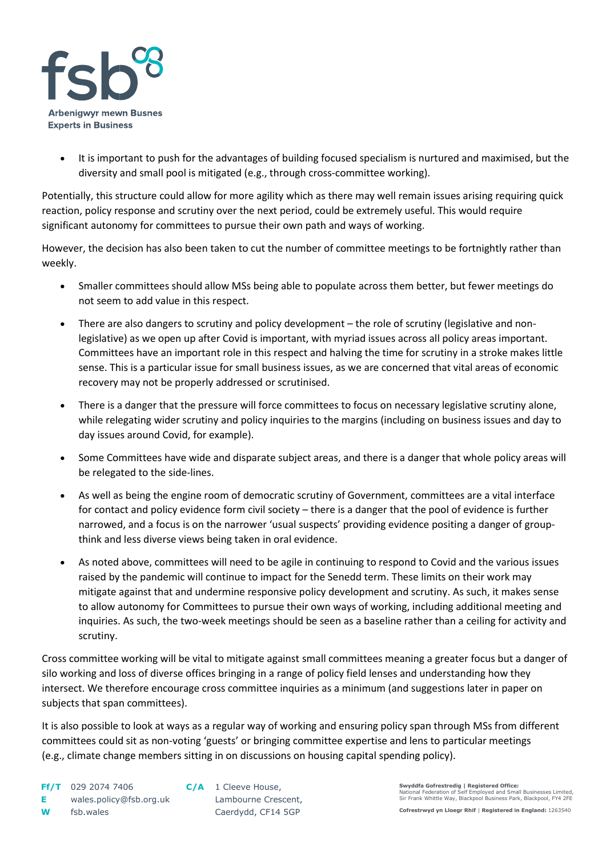

• It is important to push for the advantages of building focused specialism is nurtured and maximised, but the diversity and small pool is mitigated (e.g., through cross-committee working).

Potentially, this structure could allow for more agility which as there may well remain issues arising requiring quick reaction, policy response and scrutiny over the next period, could be extremely useful. This would require significant autonomy for committees to pursue their own path and ways of working.

However, the decision has also been taken to cut the number of committee meetings to be fortnightly rather than weekly.

- Smaller committees should allow MSs being able to populate across them better, but fewer meetings do not seem to add value in this respect.
- There are also dangers to scrutiny and policy development the role of scrutiny (legislative and nonlegislative) as we open up after Covid is important, with myriad issues across all policy areas important. Committees have an important role in this respect and halving the time for scrutiny in a stroke makes little sense. This is a particular issue for small business issues, as we are concerned that vital areas of economic recovery may not be properly addressed or scrutinised.
- There is a danger that the pressure will force committees to focus on necessary legislative scrutiny alone, while relegating wider scrutiny and policy inquiries to the margins (including on business issues and day to day issues around Covid, for example).
- Some Committees have wide and disparate subject areas, and there is a danger that whole policy areas will be relegated to the side-lines.
- As well as being the engine room of democratic scrutiny of Government, committees are a vital interface for contact and policy evidence form civil society – there is a danger that the pool of evidence is further narrowed, and a focus is on the narrower 'usual suspects' providing evidence positing a danger of groupthink and less diverse views being taken in oral evidence.
- As noted above, committees will need to be agile in continuing to respond to Covid and the various issues raised by the pandemic will continue to impact for the Senedd term. These limits on their work may mitigate against that and undermine responsive policy development and scrutiny. As such, it makes sense to allow autonomy for Committees to pursue their own ways of working, including additional meeting and inquiries. As such, the two-week meetings should be seen as a baseline rather than a ceiling for activity and scrutiny.

Cross committee working will be vital to mitigate against small committees meaning a greater focus but a danger of silo working and loss of diverse offices bringing in a range of policy field lenses and understanding how they intersect. We therefore encourage cross committee inquiries as a minimum (and suggestions later in paper on subjects that span committees).

It is also possible to look at ways as a regular way of working and ensuring policy span through MSs from different committees could sit as non-voting 'guests' or bringing committee expertise and lens to particular meetings (e.g., climate change members sitting in on discussions on housing capital spending policy).

**Swyddfa Gofrestredig | Registered Office:**  I registered officer<br>If Employed and Small Businesses Limited, Sir Frank Whittle Way, Blackpool Business Park, Blackpool, FY4 2FE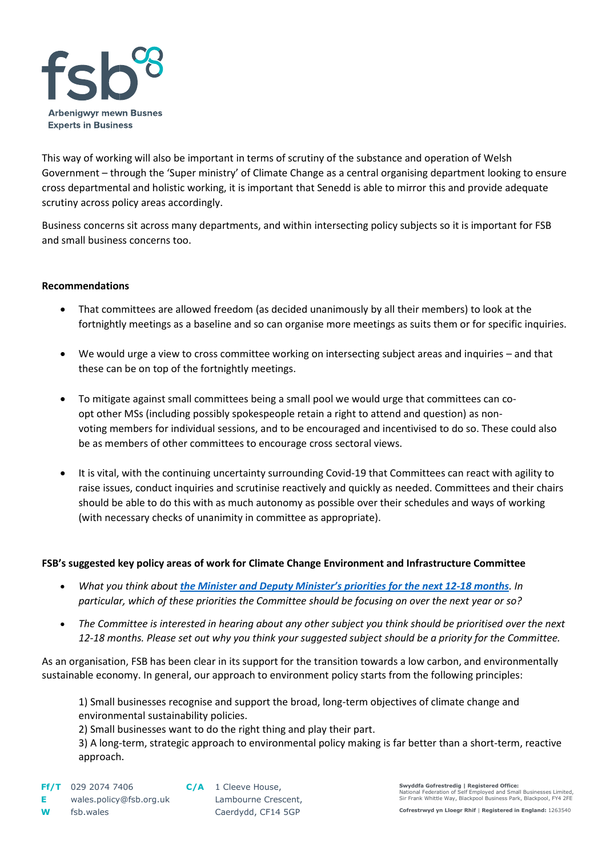

This way of working will also be important in terms of scrutiny of the substance and operation of Welsh Government – through the 'Super ministry' of Climate Change as a central organising department looking to ensure cross departmental and holistic working, it is important that Senedd is able to mirror this and provide adequate scrutiny across policy areas accordingly.

Business concerns sit across many departments, and within intersecting policy subjects so it is important for FSB and small business concerns too.

# **Recommendations**

- That committees are allowed freedom (as decided unanimously by all their members) to look at the fortnightly meetings as a baseline and so can organise more meetings as suits them or for specific inquiries.
- We would urge a view to cross committee working on intersecting subject areas and inquiries and that these can be on top of the fortnightly meetings.
- To mitigate against small committees being a small pool we would urge that committees can coopt other MSs (including possibly spokespeople retain a right to attend and question) as nonvoting members for individual sessions, and to be encouraged and incentivised to do so. These could also be as members of other committees to encourage cross sectoral views.
- It is vital, with the continuing uncertainty surrounding Covid-19 that Committees can react with agility to raise issues, conduct inquiries and scrutinise reactively and quickly as needed. Committees and their chairs should be able to do this with as much autonomy as possible over their schedules and ways of working (with necessary checks of unanimity in committee as appropriate).

## **FSB's suggested key policy areas of work for Climate Change Environment and Infrastructure Committee**

- *What you think about [the Minister and Deputy Minister's priorities for the next 12](https://business.senedd.wales/documents/s116925/Letter%20from%20the%20Minister%20and%20Deputy%20Minister%20for%20Climate%20Change%20on%20the%20Welsh%20Governments%20priorities.pdf)-18 months. In particular, which of these priorities the Committee should be focusing on over the next year or so?*
- *The Committee is interested in hearing about any other subject you think should be prioritised over the next 12-18 months. Please set out why you think your suggested subject should be a priority for the Committee.*

As an organisation, FSB has been clear in its support for the transition towards a low carbon, and environmentally sustainable economy. In general, our approach to environment policy starts from the following principles:

1) Small businesses recognise and support the broad, long-term objectives of climate change and environmental sustainability policies.

2) Small businesses want to do the right thing and play their part.

3) A long-term, strategic approach to environmental policy making is far better than a short-term, reactive approach.

**Swyddfa Gofrestredig | Registered Office:**  I nagioral and Small Businesses Limited, I Sir Frank Whittle Way, Blackpool Business Park, Blackpool, FY4 2FE

**Cofrestrwyd yn Lloegr Rhif** | **Registered in England:** 1263540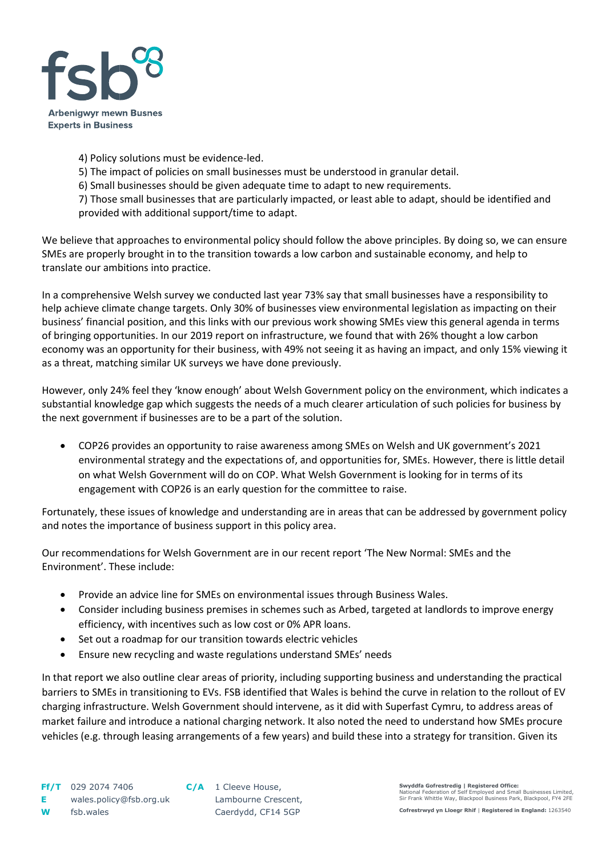

- 4) Policy solutions must be evidence-led.
- 5) The impact of policies on small businesses must be understood in granular detail.
- 6) Small businesses should be given adequate time to adapt to new requirements.

7) Those small businesses that are particularly impacted, or least able to adapt, should be identified and provided with additional support/time to adapt.

We believe that approaches to environmental policy should follow the above principles. By doing so, we can ensure SMEs are properly brought in to the transition towards a low carbon and sustainable economy, and help to translate our ambitions into practice.

In a comprehensive Welsh survey we conducted last year 73% say that small businesses have a responsibility to help achieve climate change targets. Only 30% of businesses view environmental legislation as impacting on their business' financial position, and this links with our previous work showing SMEs view this general agenda in terms of bringing opportunities. In our 2019 report on infrastructure, we found that with 26% thought a low carbon economy was an opportunity for their business, with 49% not seeing it as having an impact, and only 15% viewing it as a threat, matching similar UK surveys we have done previously.

However, only 24% feel they 'know enough' about Welsh Government policy on the environment, which indicates a substantial knowledge gap which suggests the needs of a much clearer articulation of such policies for business by the next government if businesses are to be a part of the solution.

• COP26 provides an opportunity to raise awareness among SMEs on Welsh and UK government's 2021 environmental strategy and the expectations of, and opportunities for, SMEs. However, there is little detail on what Welsh Government will do on COP. What Welsh Government is looking for in terms of its engagement with COP26 is an early question for the committee to raise.

Fortunately, these issues of knowledge and understanding are in areas that can be addressed by government policy and notes the importance of business support in this policy area.

Our recommendations for Welsh Government are in our recent report 'The New Normal: SMEs and the Environment'. These include:

- Provide an advice line for SMEs on environmental issues through Business Wales.
- Consider including business premises in schemes such as Arbed, targeted at landlords to improve energy efficiency, with incentives such as low cost or 0% APR loans.
- Set out a roadmap for our transition towards electric vehicles
- Ensure new recycling and waste regulations understand SMEs' needs

In that report we also outline clear areas of priority, including supporting business and understanding the practical barriers to SMEs in transitioning to EVs. FSB identified that Wales is behind the curve in relation to the rollout of EV charging infrastructure. Welsh Government should intervene, as it did with Superfast Cymru, to address areas of market failure and introduce a national charging network. It also noted the need to understand how SMEs procure vehicles (e.g. through leasing arrangements of a few years) and build these into a strategy for transition. Given its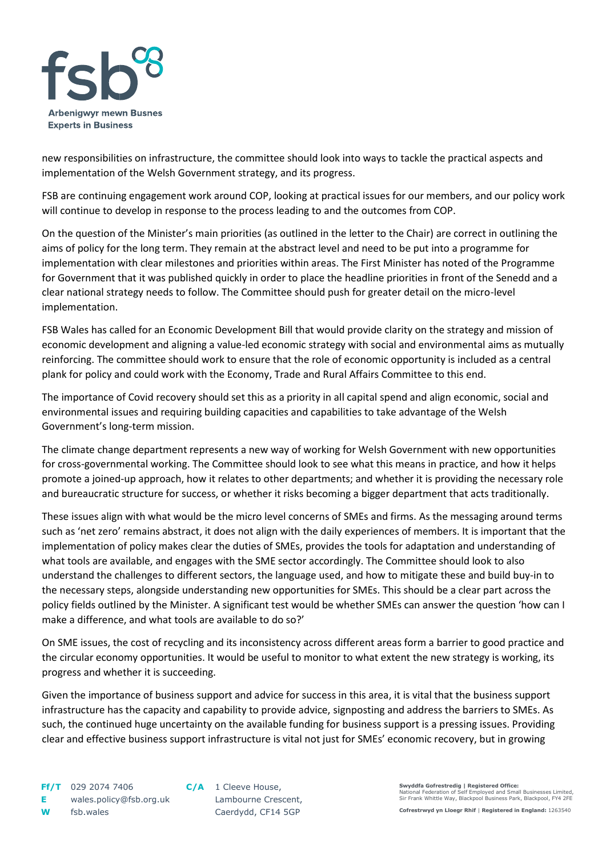

new responsibilities on infrastructure, the committee should look into ways to tackle the practical aspects and implementation of the Welsh Government strategy, and its progress.

FSB are continuing engagement work around COP, looking at practical issues for our members, and our policy work will continue to develop in response to the process leading to and the outcomes from COP.

On the question of the Minister's main priorities (as outlined in the letter to the Chair) are correct in outlining the aims of policy for the long term. They remain at the abstract level and need to be put into a programme for implementation with clear milestones and priorities within areas. The First Minister has noted of the Programme for Government that it was published quickly in order to place the headline priorities in front of the Senedd and a clear national strategy needs to follow. The Committee should push for greater detail on the micro-level implementation.

FSB Wales has called for an Economic Development Bill that would provide clarity on the strategy and mission of economic development and aligning a value-led economic strategy with social and environmental aims as mutually reinforcing. The committee should work to ensure that the role of economic opportunity is included as a central plank for policy and could work with the Economy, Trade and Rural Affairs Committee to this end.

The importance of Covid recovery should set this as a priority in all capital spend and align economic, social and environmental issues and requiring building capacities and capabilities to take advantage of the Welsh Government's long-term mission.

The climate change department represents a new way of working for Welsh Government with new opportunities for cross-governmental working. The Committee should look to see what this means in practice, and how it helps promote a joined-up approach, how it relates to other departments; and whether it is providing the necessary role and bureaucratic structure for success, or whether it risks becoming a bigger department that acts traditionally.

These issues align with what would be the micro level concerns of SMEs and firms. As the messaging around terms such as 'net zero' remains abstract, it does not align with the daily experiences of members. It is important that the implementation of policy makes clear the duties of SMEs, provides the tools for adaptation and understanding of what tools are available, and engages with the SME sector accordingly. The Committee should look to also understand the challenges to different sectors, the language used, and how to mitigate these and build buy-in to the necessary steps, alongside understanding new opportunities for SMEs. This should be a clear part across the policy fields outlined by the Minister. A significant test would be whether SMEs can answer the question 'how can I make a difference, and what tools are available to do so?'

On SME issues, the cost of recycling and its inconsistency across different areas form a barrier to good practice and the circular economy opportunities. It would be useful to monitor to what extent the new strategy is working, its progress and whether it is succeeding.

Given the importance of business support and advice for success in this area, it is vital that the business support infrastructure has the capacity and capability to provide advice, signposting and address the barriers to SMEs. As such, the continued huge uncertainty on the available funding for business support is a pressing issues. Providing clear and effective business support infrastructure is vital not just for SMEs' economic recovery, but in growing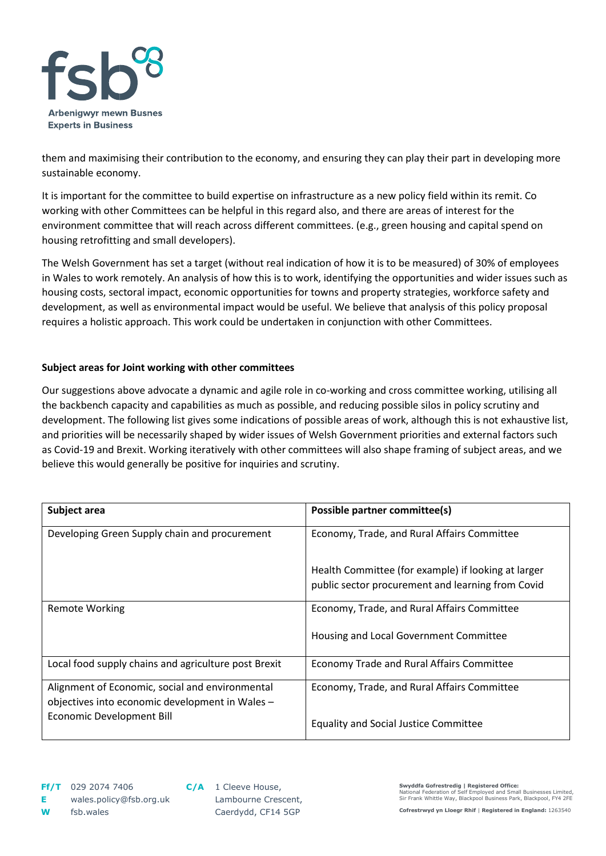

them and maximising their contribution to the economy, and ensuring they can play their part in developing more sustainable economy.

It is important for the committee to build expertise on infrastructure as a new policy field within its remit. Co working with other Committees can be helpful in this regard also, and there are areas of interest for the environment committee that will reach across different committees. (e.g., green housing and capital spend on housing retrofitting and small developers).

The Welsh Government has set a target (without real indication of how it is to be measured) of 30% of employees in Wales to work remotely. An analysis of how this is to work, identifying the opportunities and wider issues such as housing costs, sectoral impact, economic opportunities for towns and property strategies, workforce safety and development, as well as environmental impact would be useful. We believe that analysis of this policy proposal requires a holistic approach. This work could be undertaken in conjunction with other Committees.

# **Subject areas for Joint working with other committees**

Our suggestions above advocate a dynamic and agile role in co-working and cross committee working, utilising all the backbench capacity and capabilities as much as possible, and reducing possible silos in policy scrutiny and development. The following list gives some indications of possible areas of work, although this is not exhaustive list, and priorities will be necessarily shaped by wider issues of Welsh Government priorities and external factors such as Covid-19 and Brexit. Working iteratively with other committees will also shape framing of subject areas, and we believe this would generally be positive for inquiries and scrutiny.

| Subject area                                                                                       | Possible partner committee(s)                       |
|----------------------------------------------------------------------------------------------------|-----------------------------------------------------|
| Developing Green Supply chain and procurement                                                      | Economy, Trade, and Rural Affairs Committee         |
|                                                                                                    | Health Committee (for example) if looking at larger |
|                                                                                                    | public sector procurement and learning from Covid   |
| Remote Working                                                                                     | Economy, Trade, and Rural Affairs Committee         |
|                                                                                                    | Housing and Local Government Committee              |
| Local food supply chains and agriculture post Brexit                                               | Economy Trade and Rural Affairs Committee           |
| Alignment of Economic, social and environmental<br>objectives into economic development in Wales - | Economy, Trade, and Rural Affairs Committee         |
| <b>Economic Development Bill</b>                                                                   | <b>Equality and Social Justice Committee</b>        |

**Cofrestrwyd yn Lloegr Rhif** | **Registered in England:** 1263540